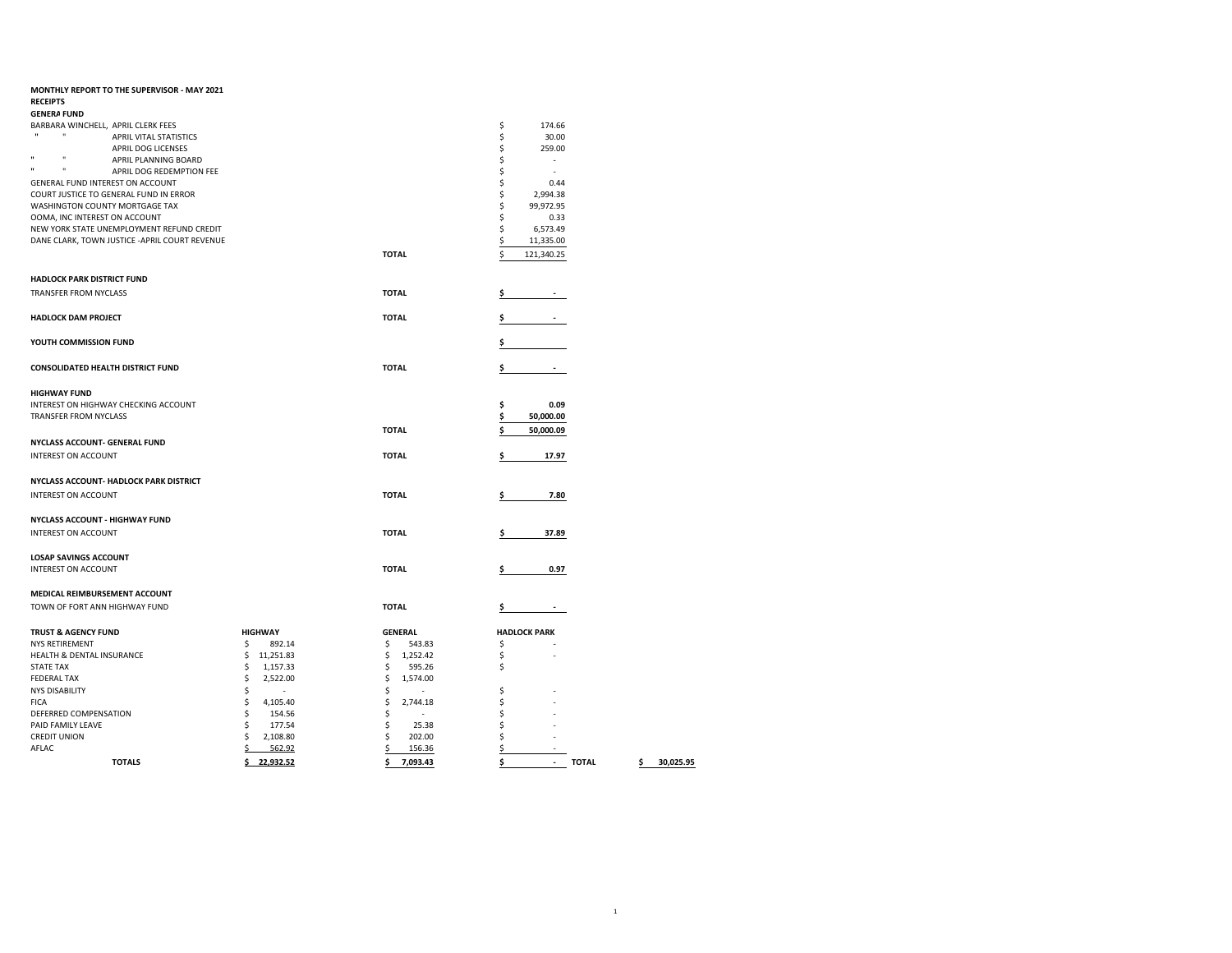| MONTHLY REPORT TO THE SUPERVISOR - MAY 2021              |                 |                |                                                |                 |
|----------------------------------------------------------|-----------------|----------------|------------------------------------------------|-----------------|
| <b>RECEIPTS</b>                                          |                 |                |                                                |                 |
| <b>GENERA FUND</b>                                       |                 |                |                                                |                 |
| BARBARA WINCHELL, APRIL CLERK FEES                       |                 |                | \$<br>174.66                                   |                 |
| $\mathbf{u}$<br>$\mathbf{H}$<br>APRIL VITAL STATISTICS   |                 |                | \$<br>30.00                                    |                 |
| APRIL DOG LICENSES                                       |                 |                | \$<br>259.00                                   |                 |
| $\mathbf{u}$<br>ш<br>APRIL PLANNING BOARD                |                 |                | \$<br>$\sim$                                   |                 |
| $\mathbf{u}$<br>$\mathbf{u}$<br>APRIL DOG REDEMPTION FEE |                 |                | \$<br>×.                                       |                 |
| GENERAL FUND INTEREST ON ACCOUNT                         |                 |                | \$<br>0.44                                     |                 |
| COURT JUSTICE TO GENERAL FUND IN ERROR                   |                 |                | \$<br>2,994.38                                 |                 |
| WASHINGTON COUNTY MORTGAGE TAX                           |                 |                | \$<br>99,972.95                                |                 |
| OOMA, INC INTEREST ON ACCOUNT                            |                 |                | \$<br>0.33                                     |                 |
| NEW YORK STATE UNEMPLOYMENT REFUND CREDIT                |                 |                | \$<br>6,573.49                                 |                 |
| DANE CLARK, TOWN JUSTICE - APRIL COURT REVENUE           |                 |                | \$<br>11,335.00                                |                 |
|                                                          |                 |                |                                                |                 |
|                                                          |                 | <b>TOTAL</b>   | 121,340.25                                     |                 |
| <b>HADLOCK PARK DISTRICT FUND</b>                        |                 |                |                                                |                 |
| TRANSFER FROM NYCLASS                                    |                 | <b>TOTAL</b>   |                                                |                 |
|                                                          |                 |                |                                                |                 |
| <b>HADLOCK DAM PROJECT</b>                               |                 | <b>TOTAL</b>   | Ś.                                             |                 |
|                                                          |                 |                |                                                |                 |
| YOUTH COMMISSION FUND                                    |                 |                |                                                |                 |
|                                                          |                 |                |                                                |                 |
| <b>CONSOLIDATED HEALTH DISTRICT FUND</b>                 |                 | <b>TOTAL</b>   | \$                                             |                 |
|                                                          |                 |                |                                                |                 |
| <b>HIGHWAY FUND</b>                                      |                 |                |                                                |                 |
| INTEREST ON HIGHWAY CHECKING ACCOUNT                     |                 |                | \$<br>0.09                                     |                 |
| <b>TRANSFER FROM NYCLASS</b>                             |                 |                |                                                |                 |
|                                                          |                 |                | \$<br>50,000.00                                |                 |
|                                                          |                 | <b>TOTAL</b>   | 50,000.09<br>\$                                |                 |
| NYCLASS ACCOUNT- GENERAL FUND                            |                 |                |                                                |                 |
| <b>INTEREST ON ACCOUNT</b>                               |                 | <b>TOTAL</b>   | 17.97<br>\$                                    |                 |
|                                                          |                 |                |                                                |                 |
| NYCLASS ACCOUNT- HADLOCK PARK DISTRICT                   |                 |                |                                                |                 |
|                                                          |                 |                |                                                |                 |
| <b>INTEREST ON ACCOUNT</b>                               |                 | <b>TOTAL</b>   | 7.80                                           |                 |
| NYCLASS ACCOUNT - HIGHWAY FUND                           |                 |                |                                                |                 |
|                                                          |                 |                |                                                |                 |
| <b>INTEREST ON ACCOUNT</b>                               |                 | <b>TOTAL</b>   | 37.89<br>s                                     |                 |
|                                                          |                 |                |                                                |                 |
| <b>LOSAP SAVINGS ACCOUNT</b>                             |                 |                |                                                |                 |
| <b>INTEREST ON ACCOUNT</b>                               |                 | <b>TOTAL</b>   | 0.97                                           |                 |
|                                                          |                 |                |                                                |                 |
| MEDICAL REIMBURSEMENT ACCOUNT                            |                 |                |                                                |                 |
| TOWN OF FORT ANN HIGHWAY FUND                            |                 | <b>TOTAL</b>   | Ś                                              |                 |
|                                                          |                 |                |                                                |                 |
| <b>TRUST &amp; AGENCY FUND</b>                           | <b>HIGHWAY</b>  | <b>GENERAL</b> | <b>HADLOCK PARK</b>                            |                 |
| <b>NYS RETIREMENT</b>                                    | \$<br>892.14    | \$<br>543.83   | \$                                             |                 |
| HEALTH & DENTAL INSURANCE                                | \$<br>11,251.83 | \$<br>1,252.42 | \$                                             |                 |
| <b>STATE TAX</b>                                         | \$<br>1,157.33  | \$<br>595.26   | \$                                             |                 |
| <b>FEDERAL TAX</b>                                       | \$<br>2,522.00  | \$<br>1,574.00 |                                                |                 |
| <b>NYS DISABILITY</b>                                    | \$<br>$\sim$    | \$             | \$                                             |                 |
| <b>FICA</b>                                              | \$<br>4,105.40  | \$<br>2,744.18 | Ś                                              |                 |
| DEFERRED COMPENSATION                                    | \$<br>154.56    | \$             | Ś                                              |                 |
| PAID FAMILY LEAVE                                        | \$<br>177.54    | \$<br>25.38    |                                                |                 |
| <b>CREDIT UNION</b>                                      | \$<br>2,108.80  | \$<br>202.00   | Ś                                              |                 |
| AFLAC                                                    | \$<br>562.92    | 156.36         | \$                                             |                 |
|                                                          |                 |                |                                                |                 |
| <b>TOTALS</b>                                            | \$<br>22,932.52 | \$<br>7,093.43 | \$<br><b>TOTAL</b><br>$\overline{\phantom{a}}$ | \$<br>30,025.95 |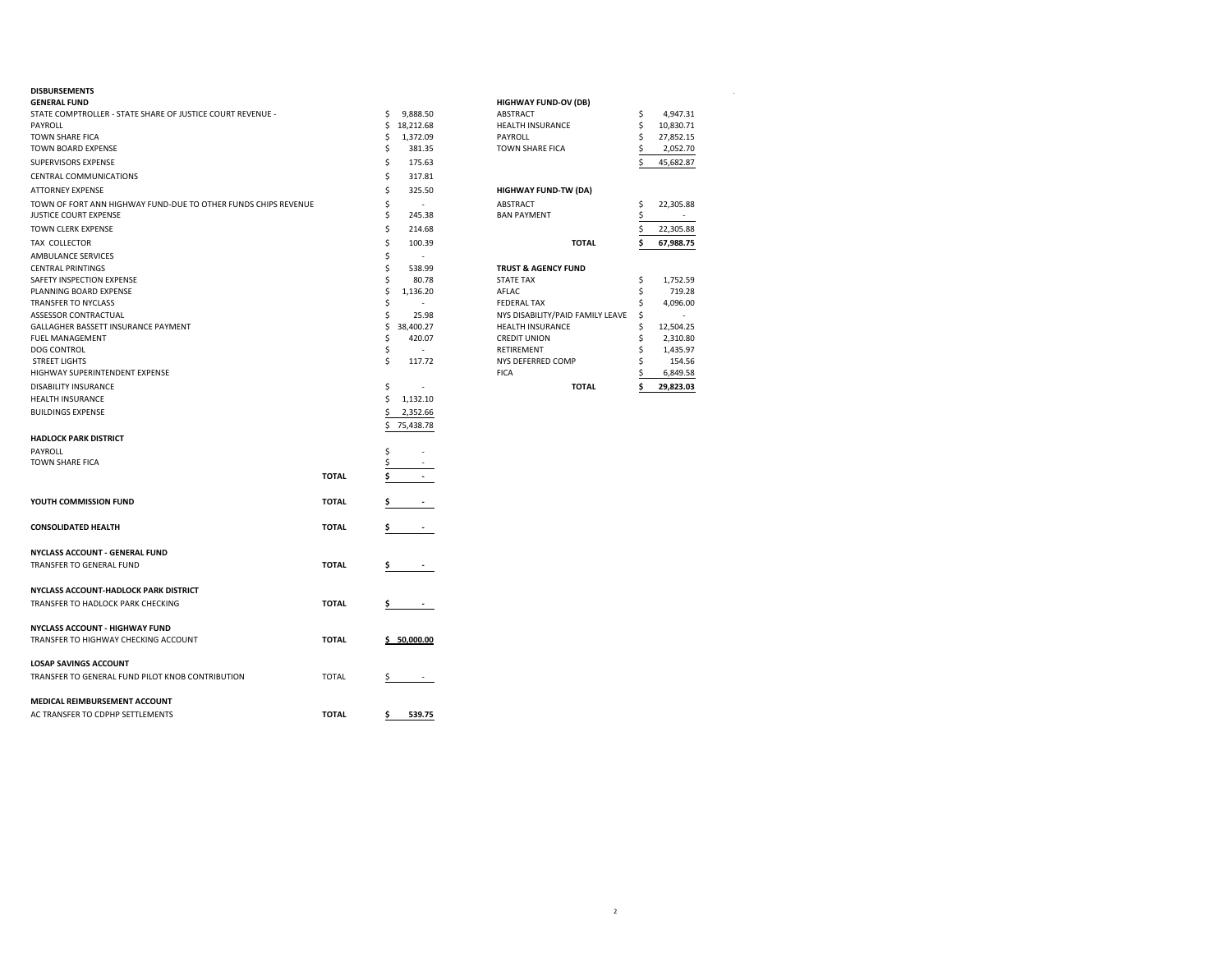| <b>GENERAL FUND</b>                                            |              |                                | <b>HIGHWAY FUND-OV (DB)</b>      |    |           |  |
|----------------------------------------------------------------|--------------|--------------------------------|----------------------------------|----|-----------|--|
| STATE COMPTROLLER - STATE SHARE OF JUSTICE COURT REVENUE -     |              | \$<br>9,888.50                 | <b>ABSTRACT</b>                  | \$ | 4,947.31  |  |
| PAYROLL                                                        |              | 18,212.68<br>\$                | HEALTH INSURANCE                 | \$ | 10,830.71 |  |
| TOWN SHARE FICA                                                |              | \$<br>1,372.09                 | PAYROLL                          | \$ | 27,852.15 |  |
| TOWN BOARD EXPENSE                                             |              | \$<br>381.35                   | TOWN SHARE FICA                  |    | 2,052.70  |  |
| SUPERVISORS EXPENSE                                            |              | \$<br>175.63                   |                                  |    | 45,682.87 |  |
| CENTRAL COMMUNICATIONS                                         |              | \$<br>317.81                   |                                  |    |           |  |
| <b>ATTORNEY EXPENSE</b>                                        |              | \$<br>325.50                   | <b>HIGHWAY FUND-TW (DA)</b>      |    |           |  |
| TOWN OF FORT ANN HIGHWAY FUND-DUE TO OTHER FUNDS CHIPS REVENUE |              | \$<br>$\overline{\phantom{a}}$ | <b>ABSTRACT</b>                  | Ś  | 22,305.88 |  |
| JUSTICE COURT EXPENSE                                          |              | \$<br>245.38                   | <b>BAN PAYMENT</b>               | \$ | $\sim$    |  |
| TOWN CLERK EXPENSE                                             |              | \$<br>214.68                   |                                  |    | 22,305.88 |  |
| TAX COLLECTOR                                                  |              | \$<br>100.39                   | <b>TOTAL</b>                     |    | 67,988.75 |  |
| AMBULANCE SERVICES                                             |              | \$<br>÷.                       |                                  |    |           |  |
| <b>CENTRAL PRINTINGS</b>                                       |              | \$<br>538.99                   | <b>TRUST &amp; AGENCY FUND</b>   |    |           |  |
| SAFETY INSPECTION EXPENSE                                      |              | \$<br>80.78                    | <b>STATE TAX</b>                 | s  | 1,752.59  |  |
| PLANNING BOARD EXPENSE                                         |              | \$<br>1,136.20                 | AFLAC                            |    | 719.28    |  |
| TRANSFER TO NYCLASS                                            |              | \$<br>٠                        | <b>FEDERAL TAX</b>               | \$ | 4,096.00  |  |
| ASSESSOR CONTRACTUAL                                           |              | \$<br>25.98                    | NYS DISABILITY/PAID FAMILY LEAVE | Ŝ  | $\sim$    |  |
| GALLAGHER BASSETT INSURANCE PAYMENT                            |              | \$<br>38,400.27                | <b>HEALTH INSURANCE</b>          |    | 12,504.25 |  |
| FUEL MANAGEMENT                                                |              | \$<br>420.07                   | <b>CREDIT UNION</b>              | \$ | 2,310.80  |  |
| DOG CONTROL                                                    |              | \$<br>$\overline{\phantom{a}}$ | RETIREMENT                       |    | 1,435.97  |  |
| <b>STREET LIGHTS</b>                                           |              | Ś<br>117.72                    | NYS DEFERRED COMP                |    | 154.56    |  |
| HIGHWAY SUPERINTENDENT EXPENSE                                 |              |                                | <b>FICA</b>                      |    | 6,849.58  |  |
| DISABILITY INSURANCE                                           |              | \$<br>÷,                       | <b>TOTAL</b>                     |    | 29,823.03 |  |
| <b>HEALTH INSURANCE</b>                                        |              | \$<br>1,132.10                 |                                  |    |           |  |
|                                                                |              |                                |                                  |    |           |  |
| <b>BUILDINGS EXPENSE</b>                                       |              | \$<br>2,352.66                 |                                  |    |           |  |
|                                                                |              | \$<br>75,438.78                |                                  |    |           |  |
| <b>HADLOCK PARK DISTRICT</b>                                   |              |                                |                                  |    |           |  |
| PAYROLL                                                        |              | \$<br>٠                        |                                  |    |           |  |
| TOWN SHARE FICA                                                |              | \$                             |                                  |    |           |  |
|                                                                | <b>TOTAL</b> | \$                             |                                  |    |           |  |
|                                                                |              |                                |                                  |    |           |  |
| YOUTH COMMISSION FUND                                          | <b>TOTAL</b> | Ş.                             |                                  |    |           |  |
|                                                                |              |                                |                                  |    |           |  |
| <b>CONSOLIDATED HEALTH</b>                                     | <b>TOTAL</b> | Ş.<br><b>Contract Contract</b> |                                  |    |           |  |
|                                                                |              |                                |                                  |    |           |  |
| NYCLASS ACCOUNT - GENERAL FUND                                 |              |                                |                                  |    |           |  |
| TRANSFER TO GENERAL FUND                                       | <b>TOTAL</b> | \$                             |                                  |    |           |  |
|                                                                |              |                                |                                  |    |           |  |
| NYCLASS ACCOUNT-HADLOCK PARK DISTRICT                          |              |                                |                                  |    |           |  |
| TRANSFER TO HADLOCK PARK CHECKING                              | <b>TOTAL</b> | Ş.<br>$\sim$ 100 $\pm$         |                                  |    |           |  |
| NYCLASS ACCOUNT - HIGHWAY FUND                                 |              |                                |                                  |    |           |  |
| TRANSFER TO HIGHWAY CHECKING ACCOUNT                           | <b>TOTAL</b> |                                |                                  |    |           |  |
|                                                                |              | \$50,000.00                    |                                  |    |           |  |
| <b>LOSAP SAVINGS ACCOUNT</b>                                   |              |                                |                                  |    |           |  |
| TRANSFER TO GENERAL FUND PILOT KNOB CONTRIBUTION               | <b>TOTAL</b> | \$                             |                                  |    |           |  |
|                                                                |              |                                |                                  |    |           |  |
| MEDICAL REIMBURSEMENT ACCOUNT                                  |              |                                |                                  |    |           |  |
| AC TRANSFER TO CDPHP SETTLEMENTS                               | <b>TOTAL</b> | 539.75<br>\$                   |                                  |    |           |  |
|                                                                |              |                                |                                  |    |           |  |

| <b>DISBURSEMENTS</b>                                           |    |           |                                  |           |
|----------------------------------------------------------------|----|-----------|----------------------------------|-----------|
| <b>GENERAL FUND</b>                                            |    |           | <b>HIGHWAY FUND-OV (DB)</b>      |           |
| STATE COMPTROLLER - STATE SHARE OF JUSTICE COURT REVENUE -     |    | 9.888.50  | ABSTRACT                         | 4.947.31  |
| PAYROLL                                                        |    | 18,212.68 | <b>HEALTH INSURANCE</b>          | 10,830.71 |
| TOWN SHARE FICA                                                |    | 1,372.09  | PAYROLL                          | 27,852.15 |
| TOWN BOARD EXPENSE                                             |    | 381.35    | <b>TOWN SHARE FICA</b>           | 2,052.70  |
| <b>SUPERVISORS EXPENSE</b>                                     |    | 175.63    |                                  | 45,682.87 |
| CENTRAL COMMUNICATIONS                                         |    | 317.81    |                                  |           |
| ATTORNEY EXPENSE                                               |    | 325.50    | <b>HIGHWAY FUND-TW (DA)</b>      |           |
| TOWN OF FORT ANN HIGHWAY FUND-DUE TO OTHER FUNDS CHIPS REVENUE |    |           | <b>ABSTRACT</b>                  | 22,305.88 |
| JUSTICE COURT EXPENSE                                          |    | 245.38    | <b>BAN PAYMENT</b>               |           |
| TOWN CLERK EXPENSE                                             |    | 214.68    |                                  | 22,305.88 |
| TAX COLLECTOR                                                  |    | 100.39    | <b>TOTAL</b>                     | 67,988.75 |
| AMBULANCE SERVICES                                             |    |           |                                  |           |
| <b>CENTRAL PRINTINGS</b>                                       |    | 538.99    | <b>TRUST &amp; AGENCY FUND</b>   |           |
| SAFETY INSPECTION EXPENSE                                      |    | 80.78     | <b>STATE TAX</b>                 | 1,752.59  |
| PLANNING BOARD EXPENSE                                         |    | 1,136.20  | AFLAC                            | 719.28    |
| TRANSFER TO NYCLASS                                            |    |           | <b>FEDERAL TAX</b>               | 4,096.00  |
| <b>ASSESSOR CONTRACTUAL</b>                                    |    | 25.98     | NYS DISABILITY/PAID FAMILY LEAVE |           |
| GALLAGHER BASSETT INSURANCE PAYMENT                            |    | 38.400.27 | <b>HEALTH INSURANCE</b>          | 12,504.25 |
| <b>FUEL MANAGEMENT</b>                                         |    | 420.07    | <b>CREDIT UNION</b>              | 2,310.80  |
| <b>DOG CONTROL</b>                                             |    |           | <b>RETIREMENT</b>                | 1,435.97  |
| <b>STREET LIGHTS</b>                                           |    | 117.72    | NYS DEFERRED COMP                | 154.56    |
| HIGHWAY SUPERINTENDENT EXPENSE                                 |    |           | <b>FICA</b>                      | 6,849.58  |
| DISABILITY INSURANCE                                           | Ś. |           | <b>TOTAL</b>                     | 29.823.03 |